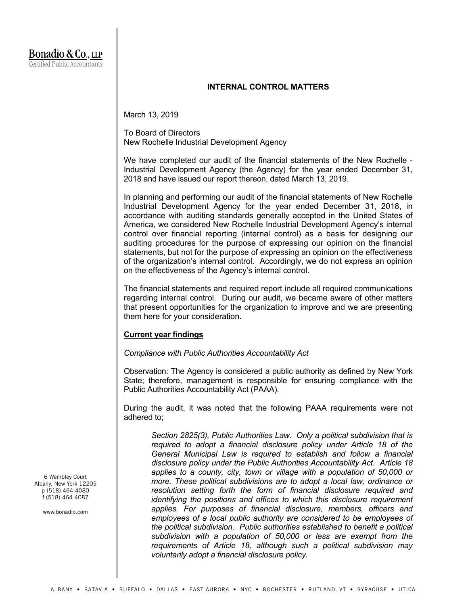## **INTERNAL CONTROL MATTERS**

March 13, 2019

To Board of Directors New Rochelle Industrial Development Agency

We have completed our audit of the financial statements of the New Rochelle - Industrial Development Agency (the Agency) for the year ended December 31, 2018 and have issued our report thereon, dated March 13, 2019.

In planning and performing our audit of the financial statements of New Rochelle Industrial Development Agency for the year ended December 31, 2018, in accordance with auditing standards generally accepted in the United States of America, we considered New Rochelle Industrial Development Agency's internal control over financial reporting (internal control) as a basis for designing our auditing procedures for the purpose of expressing our opinion on the financial statements, but not for the purpose of expressing an opinion on the effectiveness of the organization's internal control. Accordingly, we do not express an opinion on the effectiveness of the Agency's internal control.

The financial statements and required report include all required communications regarding internal control. During our audit, we became aware of other matters that present opportunities for the organization to improve and we are presenting them here for your consideration.

# **Current year findings**

*Compliance with Public Authorities Accountability Act*

Observation: The Agency is considered a public authority as defined by New York State; therefore, management is responsible for ensuring compliance with the Public Authorities Accountability Act (PAAA).

During the audit, it was noted that the following PAAA requirements were not adhered to;

*Section 2825(3), Public Authorities Law. Only a political subdivision that is required to adopt a financial disclosure policy under Article 18 of the General Municipal Law is required to establish and follow a financial disclosure policy under the Public Authorities Accountability Act. Article 18 applies to a county, city, town or village with a population of 50,000 or more. These political subdivisions are to adopt a local law, ordinance or resolution setting forth the form of financial disclosure required and identifying the positions and offices to which this disclosure requirement applies. For purposes of financial disclosure, members, officers and employees of a local public authority are considered to be employees of the political subdivision. Public authorities established to benefit a political subdivision with a population of 50,000 or less are exempt from the requirements of Article 18, although such a political subdivision may voluntarily adopt a financial disclosure policy.*

6 Wembley Court Albany, New York 12205 p (518) 464-4080 f (518) 464-4087

www.bonadio.com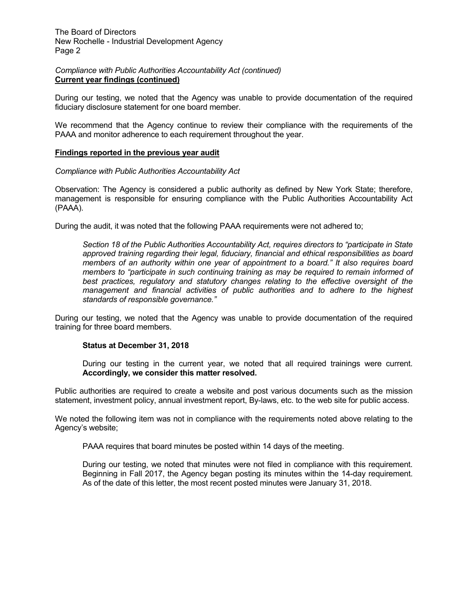## *Compliance with Public Authorities Accountability Act (continued)* **Current year findings (continued)**

During our testing, we noted that the Agency was unable to provide documentation of the required fiduciary disclosure statement for one board member.

We recommend that the Agency continue to review their compliance with the requirements of the PAAA and monitor adherence to each requirement throughout the year.

## **Findings reported in the previous year audit**

#### *Compliance with Public Authorities Accountability Act*

Observation: The Agency is considered a public authority as defined by New York State; therefore, management is responsible for ensuring compliance with the Public Authorities Accountability Act (PAAA).

During the audit, it was noted that the following PAAA requirements were not adhered to;

*Section 18 of the Public Authorities Accountability Act, requires directors to "participate in State approved training regarding their legal, fiduciary, financial and ethical responsibilities as board members of an authority within one year of appointment to a board." It also requires board members to "participate in such continuing training as may be required to remain informed of best practices, regulatory and statutory changes relating to the effective oversight of the management and financial activities of public authorities and to adhere to the highest standards of responsible governance."*

During our testing, we noted that the Agency was unable to provide documentation of the required training for three board members.

#### **Status at December 31, 2018**

During our testing in the current year, we noted that all required trainings were current. **Accordingly, we consider this matter resolved.**

Public authorities are required to create a website and post various documents such as the mission statement, investment policy, annual investment report, By-laws, etc. to the web site for public access.

We noted the following item was not in compliance with the requirements noted above relating to the Agency's website;

PAAA requires that board minutes be posted within 14 days of the meeting.

During our testing, we noted that minutes were not filed in compliance with this requirement. Beginning in Fall 2017, the Agency began posting its minutes within the 14-day requirement. As of the date of this letter, the most recent posted minutes were January 31, 2018.